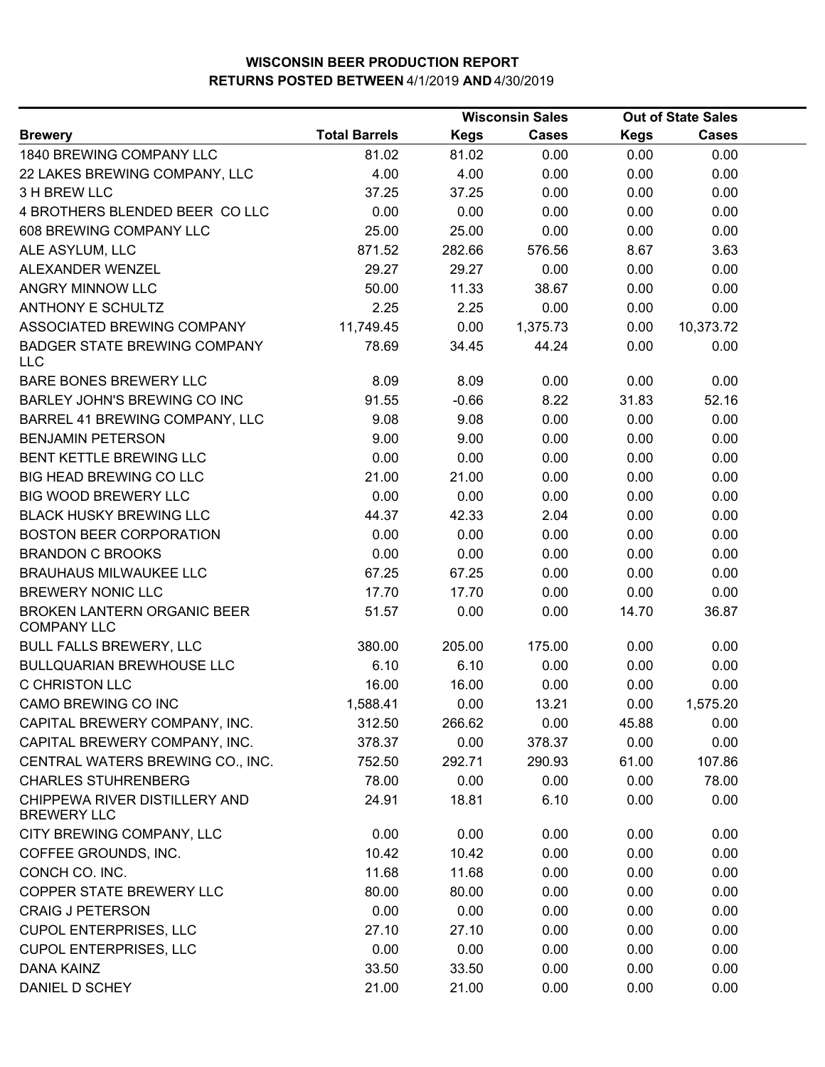|                                                     | <b>Wisconsin Sales</b> |             |              | <b>Out of State Sales</b> |              |  |
|-----------------------------------------------------|------------------------|-------------|--------------|---------------------------|--------------|--|
| <b>Brewery</b>                                      | <b>Total Barrels</b>   | <b>Kegs</b> | <b>Cases</b> | <b>Kegs</b>               | <b>Cases</b> |  |
| 1840 BREWING COMPANY LLC                            | 81.02                  | 81.02       | 0.00         | 0.00                      | 0.00         |  |
| 22 LAKES BREWING COMPANY, LLC                       | 4.00                   | 4.00        | 0.00         | 0.00                      | 0.00         |  |
| 3 H BREW LLC                                        | 37.25                  | 37.25       | 0.00         | 0.00                      | 0.00         |  |
| 4 BROTHERS BLENDED BEER CO LLC                      | 0.00                   | 0.00        | 0.00         | 0.00                      | 0.00         |  |
| 608 BREWING COMPANY LLC                             | 25.00                  | 25.00       | 0.00         | 0.00                      | 0.00         |  |
| ALE ASYLUM, LLC                                     | 871.52                 | 282.66      | 576.56       | 8.67                      | 3.63         |  |
| ALEXANDER WENZEL                                    | 29.27                  | 29.27       | 0.00         | 0.00                      | 0.00         |  |
| ANGRY MINNOW LLC                                    | 50.00                  | 11.33       | 38.67        | 0.00                      | 0.00         |  |
| <b>ANTHONY E SCHULTZ</b>                            | 2.25                   | 2.25        | 0.00         | 0.00                      | 0.00         |  |
| ASSOCIATED BREWING COMPANY                          | 11,749.45              | 0.00        | 1,375.73     | 0.00                      | 10,373.72    |  |
| <b>BADGER STATE BREWING COMPANY</b><br><b>LLC</b>   | 78.69                  | 34.45       | 44.24        | 0.00                      | 0.00         |  |
| BARE BONES BREWERY LLC                              | 8.09                   | 8.09        | 0.00         | 0.00                      | 0.00         |  |
| BARLEY JOHN'S BREWING CO INC                        | 91.55                  | $-0.66$     | 8.22         | 31.83                     | 52.16        |  |
| BARREL 41 BREWING COMPANY, LLC                      | 9.08                   | 9.08        | 0.00         | 0.00                      | 0.00         |  |
| <b>BENJAMIN PETERSON</b>                            | 9.00                   | 9.00        | 0.00         | 0.00                      | 0.00         |  |
| BENT KETTLE BREWING LLC                             | 0.00                   | 0.00        | 0.00         | 0.00                      | 0.00         |  |
| BIG HEAD BREWING CO LLC                             | 21.00                  | 21.00       | 0.00         | 0.00                      | 0.00         |  |
| <b>BIG WOOD BREWERY LLC</b>                         | 0.00                   | 0.00        | 0.00         | 0.00                      | 0.00         |  |
| <b>BLACK HUSKY BREWING LLC</b>                      | 44.37                  | 42.33       | 2.04         | 0.00                      | 0.00         |  |
| <b>BOSTON BEER CORPORATION</b>                      | 0.00                   | 0.00        | 0.00         | 0.00                      | 0.00         |  |
| <b>BRANDON C BROOKS</b>                             | 0.00                   | 0.00        | 0.00         | 0.00                      | 0.00         |  |
| <b>BRAUHAUS MILWAUKEE LLC</b>                       | 67.25                  | 67.25       | 0.00         | 0.00                      | 0.00         |  |
| <b>BREWERY NONIC LLC</b>                            | 17.70                  | 17.70       | 0.00         | 0.00                      | 0.00         |  |
| BROKEN LANTERN ORGANIC BEER<br><b>COMPANY LLC</b>   | 51.57                  | 0.00        | 0.00         | 14.70                     | 36.87        |  |
| <b>BULL FALLS BREWERY, LLC</b>                      | 380.00                 | 205.00      | 175.00       | 0.00                      | 0.00         |  |
| <b>BULLQUARIAN BREWHOUSE LLC</b>                    | 6.10                   | 6.10        | 0.00         | 0.00                      | 0.00         |  |
| <b>C CHRISTON LLC</b>                               | 16.00                  | 16.00       | 0.00         | 0.00                      | 0.00         |  |
| CAMO BREWING CO INC                                 | 1,588.41               | 0.00        | 13.21        | 0.00                      | 1,575.20     |  |
| CAPITAL BREWERY COMPANY, INC.                       | 312.50                 | 266.62      | 0.00         | 45.88                     | 0.00         |  |
| CAPITAL BREWERY COMPANY, INC.                       | 378.37                 | 0.00        | 378.37       | 0.00                      | 0.00         |  |
| CENTRAL WATERS BREWING CO., INC.                    | 752.50                 | 292.71      | 290.93       | 61.00                     | 107.86       |  |
| <b>CHARLES STUHRENBERG</b>                          | 78.00                  | 0.00        | 0.00         | 0.00                      | 78.00        |  |
| CHIPPEWA RIVER DISTILLERY AND<br><b>BREWERY LLC</b> | 24.91                  | 18.81       | 6.10         | 0.00                      | 0.00         |  |
| CITY BREWING COMPANY, LLC                           | 0.00                   | 0.00        | 0.00         | 0.00                      | 0.00         |  |
| COFFEE GROUNDS, INC.                                | 10.42                  | 10.42       | 0.00         | 0.00                      | 0.00         |  |
| CONCH CO. INC.                                      | 11.68                  | 11.68       | 0.00         | 0.00                      | 0.00         |  |
| COPPER STATE BREWERY LLC                            | 80.00                  | 80.00       | 0.00         | 0.00                      | 0.00         |  |
| <b>CRAIG J PETERSON</b>                             | 0.00                   | 0.00        | 0.00         | 0.00                      | 0.00         |  |
| <b>CUPOL ENTERPRISES, LLC</b>                       | 27.10                  | 27.10       | 0.00         | 0.00                      | 0.00         |  |
| <b>CUPOL ENTERPRISES, LLC</b>                       | 0.00                   | 0.00        | 0.00         | 0.00                      | 0.00         |  |
| <b>DANA KAINZ</b>                                   | 33.50                  | 33.50       | 0.00         | 0.00                      | 0.00         |  |
| DANIEL D SCHEY                                      | 21.00                  | 21.00       | 0.00         | 0.00                      | 0.00         |  |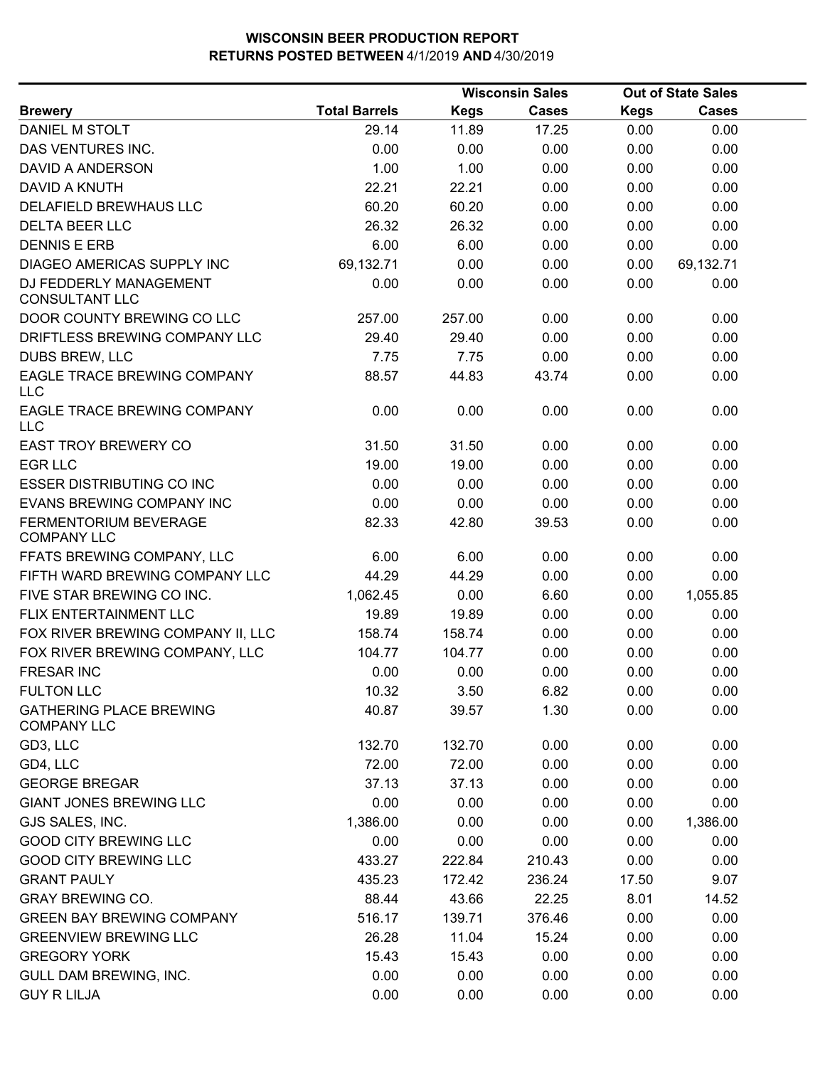|                                                      |                      |             | <b>Wisconsin Sales</b> |             | <b>Out of State Sales</b> |  |
|------------------------------------------------------|----------------------|-------------|------------------------|-------------|---------------------------|--|
| <b>Brewery</b>                                       | <b>Total Barrels</b> | <b>Kegs</b> | <b>Cases</b>           | <b>Kegs</b> | <b>Cases</b>              |  |
| DANIEL M STOLT                                       | 29.14                | 11.89       | 17.25                  | 0.00        | 0.00                      |  |
| DAS VENTURES INC.                                    | 0.00                 | 0.00        | 0.00                   | 0.00        | 0.00                      |  |
| DAVID A ANDERSON                                     | 1.00                 | 1.00        | 0.00                   | 0.00        | 0.00                      |  |
| <b>DAVID A KNUTH</b>                                 | 22.21                | 22.21       | 0.00                   | 0.00        | 0.00                      |  |
| DELAFIELD BREWHAUS LLC                               | 60.20                | 60.20       | 0.00                   | 0.00        | 0.00                      |  |
| <b>DELTA BEER LLC</b>                                | 26.32                | 26.32       | 0.00                   | 0.00        | 0.00                      |  |
| <b>DENNIS E ERB</b>                                  | 6.00                 | 6.00        | 0.00                   | 0.00        | 0.00                      |  |
| DIAGEO AMERICAS SUPPLY INC                           | 69,132.71            | 0.00        | 0.00                   | 0.00        | 69,132.71                 |  |
| DJ FEDDERLY MANAGEMENT<br><b>CONSULTANT LLC</b>      | 0.00                 | 0.00        | 0.00                   | 0.00        | 0.00                      |  |
| DOOR COUNTY BREWING CO LLC                           | 257.00               | 257.00      | 0.00                   | 0.00        | 0.00                      |  |
| DRIFTLESS BREWING COMPANY LLC                        | 29.40                | 29.40       | 0.00                   | 0.00        | 0.00                      |  |
| DUBS BREW, LLC                                       | 7.75                 | 7.75        | 0.00                   | 0.00        | 0.00                      |  |
| EAGLE TRACE BREWING COMPANY<br><b>LLC</b>            | 88.57                | 44.83       | 43.74                  | 0.00        | 0.00                      |  |
| EAGLE TRACE BREWING COMPANY<br><b>LLC</b>            | 0.00                 | 0.00        | 0.00                   | 0.00        | 0.00                      |  |
| <b>EAST TROY BREWERY CO</b>                          | 31.50                | 31.50       | 0.00                   | 0.00        | 0.00                      |  |
| <b>EGR LLC</b>                                       | 19.00                | 19.00       | 0.00                   | 0.00        | 0.00                      |  |
| <b>ESSER DISTRIBUTING CO INC</b>                     | 0.00                 | 0.00        | 0.00                   | 0.00        | 0.00                      |  |
| EVANS BREWING COMPANY INC                            | 0.00                 | 0.00        | 0.00                   | 0.00        | 0.00                      |  |
| FERMENTORIUM BEVERAGE<br><b>COMPANY LLC</b>          | 82.33                | 42.80       | 39.53                  | 0.00        | 0.00                      |  |
| FFATS BREWING COMPANY, LLC                           | 6.00                 | 6.00        | 0.00                   | 0.00        | 0.00                      |  |
| FIFTH WARD BREWING COMPANY LLC                       | 44.29                | 44.29       | 0.00                   | 0.00        | 0.00                      |  |
| FIVE STAR BREWING CO INC.                            | 1,062.45             | 0.00        | 6.60                   | 0.00        | 1,055.85                  |  |
| FLIX ENTERTAINMENT LLC                               | 19.89                | 19.89       | 0.00                   | 0.00        | 0.00                      |  |
| FOX RIVER BREWING COMPANY II, LLC                    | 158.74               | 158.74      | 0.00                   | 0.00        | 0.00                      |  |
| FOX RIVER BREWING COMPANY, LLC                       | 104.77               | 104.77      | 0.00                   | 0.00        | 0.00                      |  |
| <b>FRESAR INC</b>                                    | 0.00                 | 0.00        | 0.00                   | 0.00        | 0.00                      |  |
| <b>FULTON LLC</b>                                    | 10.32                | 3.50        | 6.82                   | 0.00        | 0.00                      |  |
| <b>GATHERING PLACE BREWING</b><br><b>COMPANY LLC</b> | 40.87                | 39.57       | 1.30                   | 0.00        | 0.00                      |  |
| GD3, LLC                                             | 132.70               | 132.70      | 0.00                   | 0.00        | 0.00                      |  |
| GD4, LLC                                             | 72.00                | 72.00       | 0.00                   | 0.00        | 0.00                      |  |
| <b>GEORGE BREGAR</b>                                 | 37.13                | 37.13       | 0.00                   | 0.00        | 0.00                      |  |
| <b>GIANT JONES BREWING LLC</b>                       | 0.00                 | 0.00        | 0.00                   | 0.00        | 0.00                      |  |
| GJS SALES, INC.                                      | 1,386.00             | 0.00        | 0.00                   | 0.00        | 1,386.00                  |  |
| <b>GOOD CITY BREWING LLC</b>                         | 0.00                 | 0.00        | 0.00                   | 0.00        | 0.00                      |  |
| <b>GOOD CITY BREWING LLC</b>                         | 433.27               | 222.84      | 210.43                 | 0.00        | 0.00                      |  |
| <b>GRANT PAULY</b>                                   | 435.23               | 172.42      | 236.24                 | 17.50       | 9.07                      |  |
| <b>GRAY BREWING CO.</b>                              | 88.44                | 43.66       | 22.25                  | 8.01        | 14.52                     |  |
| <b>GREEN BAY BREWING COMPANY</b>                     | 516.17               | 139.71      | 376.46                 | 0.00        | 0.00                      |  |
| <b>GREENVIEW BREWING LLC</b>                         | 26.28                | 11.04       | 15.24                  | 0.00        | 0.00                      |  |
| <b>GREGORY YORK</b>                                  | 15.43                | 15.43       | 0.00                   | 0.00        | 0.00                      |  |
| GULL DAM BREWING, INC.                               | 0.00                 | 0.00        | 0.00                   | 0.00        | 0.00                      |  |
| <b>GUY R LILJA</b>                                   | 0.00                 | 0.00        | 0.00                   | 0.00        | 0.00                      |  |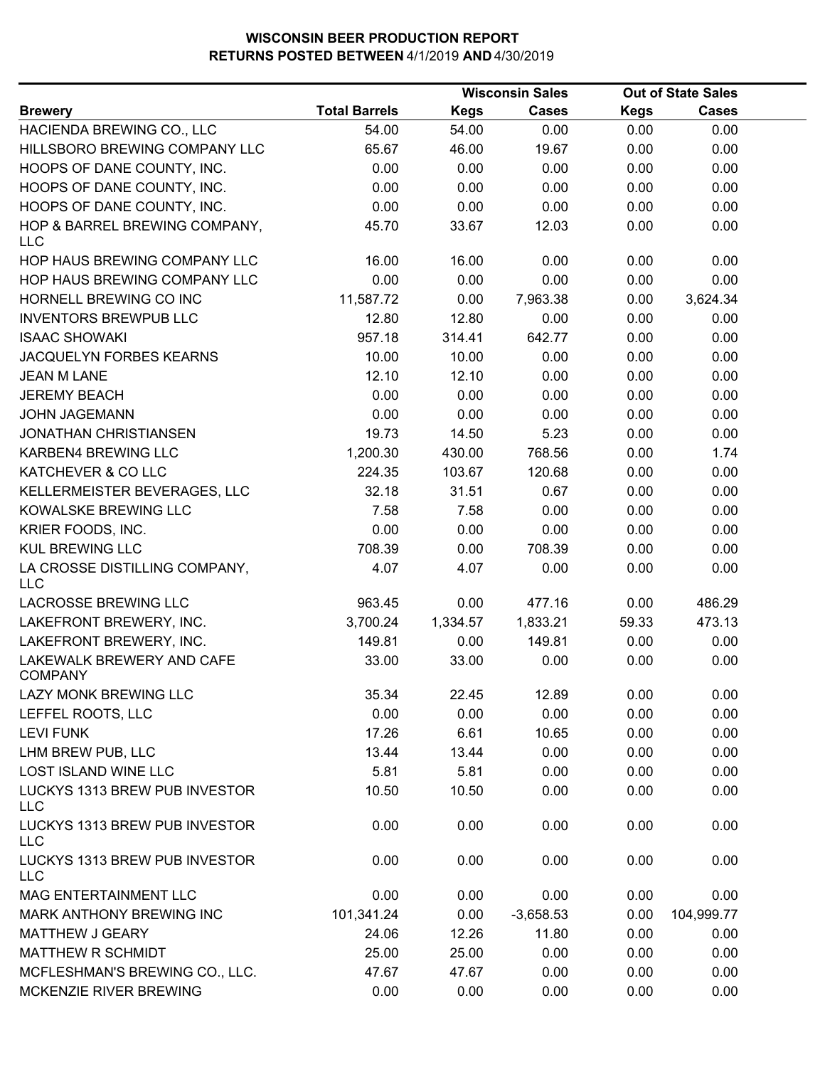|                                             |                      |             | <b>Wisconsin Sales</b> |             | <b>Out of State Sales</b> |  |
|---------------------------------------------|----------------------|-------------|------------------------|-------------|---------------------------|--|
| <b>Brewery</b>                              | <b>Total Barrels</b> | <b>Kegs</b> | Cases                  | <b>Kegs</b> | <b>Cases</b>              |  |
| HACIENDA BREWING CO., LLC                   | 54.00                | 54.00       | 0.00                   | 0.00        | 0.00                      |  |
| HILLSBORO BREWING COMPANY LLC               | 65.67                | 46.00       | 19.67                  | 0.00        | 0.00                      |  |
| HOOPS OF DANE COUNTY, INC.                  | 0.00                 | 0.00        | 0.00                   | 0.00        | 0.00                      |  |
| HOOPS OF DANE COUNTY, INC.                  | 0.00                 | 0.00        | 0.00                   | 0.00        | 0.00                      |  |
| HOOPS OF DANE COUNTY, INC.                  | 0.00                 | 0.00        | 0.00                   | 0.00        | 0.00                      |  |
| HOP & BARREL BREWING COMPANY,<br>LLC        | 45.70                | 33.67       | 12.03                  | 0.00        | 0.00                      |  |
| HOP HAUS BREWING COMPANY LLC                | 16.00                | 16.00       | 0.00                   | 0.00        | 0.00                      |  |
| HOP HAUS BREWING COMPANY LLC                | 0.00                 | 0.00        | 0.00                   | 0.00        | 0.00                      |  |
| HORNELL BREWING CO INC                      | 11,587.72            | 0.00        | 7,963.38               | 0.00        | 3,624.34                  |  |
| <b>INVENTORS BREWPUB LLC</b>                | 12.80                | 12.80       | 0.00                   | 0.00        | 0.00                      |  |
| <b>ISAAC SHOWAKI</b>                        | 957.18               | 314.41      | 642.77                 | 0.00        | 0.00                      |  |
| JACQUELYN FORBES KEARNS                     | 10.00                | 10.00       | 0.00                   | 0.00        | 0.00                      |  |
| <b>JEAN M LANE</b>                          | 12.10                | 12.10       | 0.00                   | 0.00        | 0.00                      |  |
| <b>JEREMY BEACH</b>                         | 0.00                 | 0.00        | 0.00                   | 0.00        | 0.00                      |  |
| <b>JOHN JAGEMANN</b>                        | 0.00                 | 0.00        | 0.00                   | 0.00        | 0.00                      |  |
| <b>JONATHAN CHRISTIANSEN</b>                | 19.73                | 14.50       | 5.23                   | 0.00        | 0.00                      |  |
| KARBEN4 BREWING LLC                         | 1,200.30             | 430.00      | 768.56                 | 0.00        | 1.74                      |  |
| KATCHEVER & CO LLC                          | 224.35               | 103.67      | 120.68                 | 0.00        | 0.00                      |  |
| KELLERMEISTER BEVERAGES, LLC                | 32.18                | 31.51       | 0.67                   | 0.00        | 0.00                      |  |
| KOWALSKE BREWING LLC                        | 7.58                 | 7.58        | 0.00                   | 0.00        | 0.00                      |  |
| KRIER FOODS, INC.                           | 0.00                 | 0.00        | 0.00                   | 0.00        | 0.00                      |  |
| <b>KUL BREWING LLC</b>                      | 708.39               | 0.00        | 708.39                 | 0.00        | 0.00                      |  |
| LA CROSSE DISTILLING COMPANY,<br><b>LLC</b> | 4.07                 | 4.07        | 0.00                   | 0.00        | 0.00                      |  |
| LACROSSE BREWING LLC                        | 963.45               | 0.00        | 477.16                 | 0.00        | 486.29                    |  |
| LAKEFRONT BREWERY, INC.                     | 3,700.24             | 1,334.57    | 1,833.21               | 59.33       | 473.13                    |  |
| LAKEFRONT BREWERY, INC.                     | 149.81               | 0.00        | 149.81                 | 0.00        | 0.00                      |  |
| LAKEWALK BREWERY AND CAFE<br><b>COMPANY</b> | 33.00                | 33.00       | 0.00                   | 0.00        | 0.00                      |  |
| LAZY MONK BREWING LLC                       | 35.34                | 22.45       | 12.89                  | 0.00        | 0.00                      |  |
| LEFFEL ROOTS, LLC                           | 0.00                 | 0.00        | 0.00                   | 0.00        | 0.00                      |  |
| <b>LEVI FUNK</b>                            | 17.26                | 6.61        | 10.65                  | 0.00        | 0.00                      |  |
| LHM BREW PUB, LLC                           | 13.44                | 13.44       | 0.00                   | 0.00        | 0.00                      |  |
| <b>LOST ISLAND WINE LLC</b>                 | 5.81                 | 5.81        | 0.00                   | 0.00        | 0.00                      |  |
| LUCKYS 1313 BREW PUB INVESTOR<br><b>LLC</b> | 10.50                | 10.50       | 0.00                   | 0.00        | 0.00                      |  |
| LUCKYS 1313 BREW PUB INVESTOR<br><b>LLC</b> | 0.00                 | 0.00        | 0.00                   | 0.00        | 0.00                      |  |
| LUCKYS 1313 BREW PUB INVESTOR<br><b>LLC</b> | 0.00                 | 0.00        | 0.00                   | 0.00        | 0.00                      |  |
| MAG ENTERTAINMENT LLC                       | 0.00                 | 0.00        | 0.00                   | 0.00        | 0.00                      |  |
| MARK ANTHONY BREWING INC                    | 101,341.24           | 0.00        | $-3,658.53$            | 0.00        | 104,999.77                |  |
| MATTHEW J GEARY                             | 24.06                | 12.26       | 11.80                  | 0.00        | 0.00                      |  |
| MATTHEW R SCHMIDT                           | 25.00                | 25.00       | 0.00                   | 0.00        | 0.00                      |  |
| MCFLESHMAN'S BREWING CO., LLC.              | 47.67                | 47.67       | 0.00                   | 0.00        | 0.00                      |  |
| MCKENZIE RIVER BREWING                      | 0.00                 | 0.00        | 0.00                   | 0.00        | 0.00                      |  |
|                                             |                      |             |                        |             |                           |  |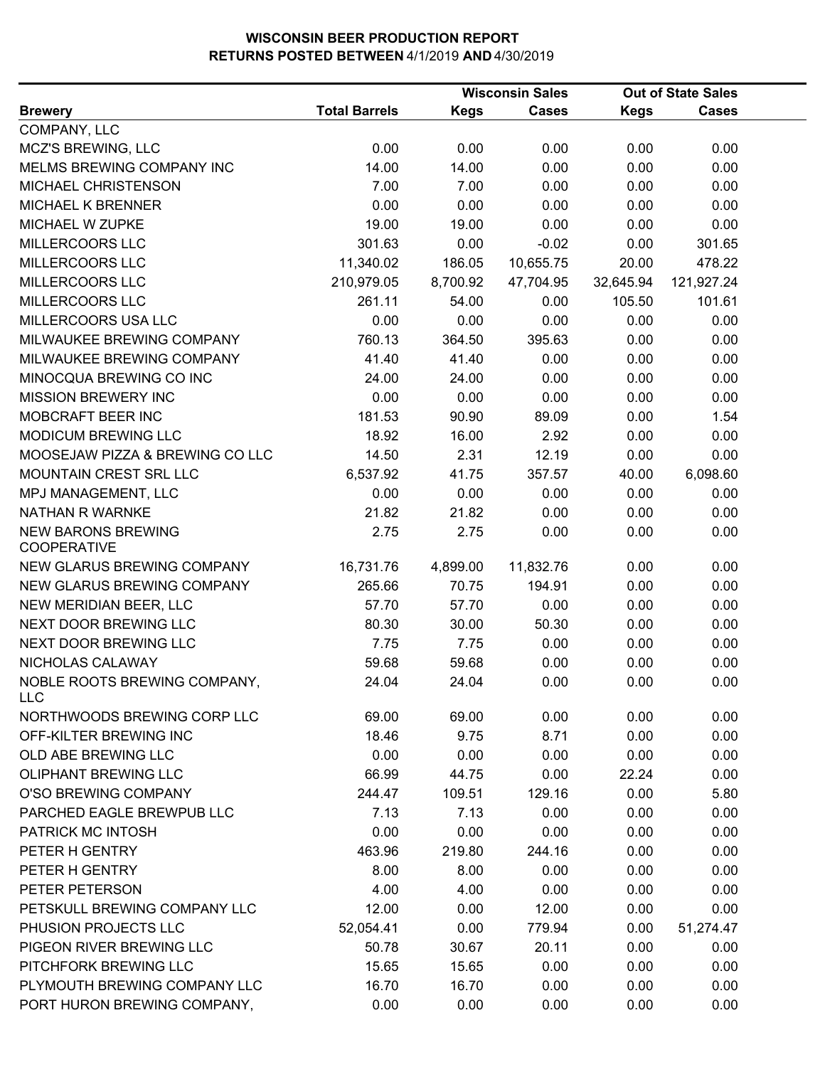|                                                 |                      | <b>Wisconsin Sales</b> |              |             | <b>Out of State Sales</b> |  |  |
|-------------------------------------------------|----------------------|------------------------|--------------|-------------|---------------------------|--|--|
| <b>Brewery</b>                                  | <b>Total Barrels</b> | <b>Kegs</b>            | <b>Cases</b> | <b>Kegs</b> | <b>Cases</b>              |  |  |
| COMPANY, LLC                                    |                      |                        |              |             |                           |  |  |
| MCZ'S BREWING, LLC                              | 0.00                 | 0.00                   | 0.00         | 0.00        | 0.00                      |  |  |
| MELMS BREWING COMPANY INC                       | 14.00                | 14.00                  | 0.00         | 0.00        | 0.00                      |  |  |
| MICHAEL CHRISTENSON                             | 7.00                 | 7.00                   | 0.00         | 0.00        | 0.00                      |  |  |
| MICHAEL K BRENNER                               | 0.00                 | 0.00                   | 0.00         | 0.00        | 0.00                      |  |  |
| MICHAEL W ZUPKE                                 | 19.00                | 19.00                  | 0.00         | 0.00        | 0.00                      |  |  |
| MILLERCOORS LLC                                 | 301.63               | 0.00                   | $-0.02$      | 0.00        | 301.65                    |  |  |
| MILLERCOORS LLC                                 | 11,340.02            | 186.05                 | 10,655.75    | 20.00       | 478.22                    |  |  |
| MILLERCOORS LLC                                 | 210,979.05           | 8,700.92               | 47,704.95    | 32,645.94   | 121,927.24                |  |  |
| MILLERCOORS LLC                                 | 261.11               | 54.00                  | 0.00         | 105.50      | 101.61                    |  |  |
| MILLERCOORS USA LLC                             | 0.00                 | 0.00                   | 0.00         | 0.00        | 0.00                      |  |  |
| MILWAUKEE BREWING COMPANY                       | 760.13               | 364.50                 | 395.63       | 0.00        | 0.00                      |  |  |
| MILWAUKEE BREWING COMPANY                       | 41.40                | 41.40                  | 0.00         | 0.00        | 0.00                      |  |  |
| MINOCQUA BREWING CO INC                         | 24.00                | 24.00                  | 0.00         | 0.00        | 0.00                      |  |  |
| MISSION BREWERY INC                             | 0.00                 | 0.00                   | 0.00         | 0.00        | 0.00                      |  |  |
| MOBCRAFT BEER INC                               | 181.53               | 90.90                  | 89.09        | 0.00        | 1.54                      |  |  |
| MODICUM BREWING LLC                             | 18.92                | 16.00                  | 2.92         | 0.00        | 0.00                      |  |  |
| MOOSEJAW PIZZA & BREWING CO LLC                 | 14.50                | 2.31                   | 12.19        | 0.00        | 0.00                      |  |  |
| MOUNTAIN CREST SRL LLC                          | 6,537.92             | 41.75                  | 357.57       | 40.00       | 6,098.60                  |  |  |
| MPJ MANAGEMENT, LLC                             | 0.00                 | 0.00                   | 0.00         | 0.00        | 0.00                      |  |  |
| NATHAN R WARNKE                                 | 21.82                | 21.82                  | 0.00         | 0.00        | 0.00                      |  |  |
| <b>NEW BARONS BREWING</b><br><b>COOPERATIVE</b> | 2.75                 | 2.75                   | 0.00         | 0.00        | 0.00                      |  |  |
| NEW GLARUS BREWING COMPANY                      | 16,731.76            | 4,899.00               | 11,832.76    | 0.00        | 0.00                      |  |  |
| NEW GLARUS BREWING COMPANY                      | 265.66               | 70.75                  | 194.91       | 0.00        | 0.00                      |  |  |
| NEW MERIDIAN BEER, LLC                          | 57.70                | 57.70                  | 0.00         | 0.00        | 0.00                      |  |  |
| NEXT DOOR BREWING LLC                           | 80.30                | 30.00                  | 50.30        | 0.00        | 0.00                      |  |  |
| NEXT DOOR BREWING LLC                           | 7.75                 | 7.75                   | 0.00         | 0.00        | 0.00                      |  |  |
| NICHOLAS CALAWAY                                | 59.68                | 59.68                  | 0.00         | 0.00        | 0.00                      |  |  |
| NOBLE ROOTS BREWING COMPANY,<br><b>LLC</b>      | 24.04                | 24.04                  | 0.00         | 0.00        | 0.00                      |  |  |
| NORTHWOODS BREWING CORP LLC                     | 69.00                | 69.00                  | 0.00         | 0.00        | 0.00                      |  |  |
| OFF-KILTER BREWING INC                          | 18.46                | 9.75                   | 8.71         | 0.00        | 0.00                      |  |  |
| OLD ABE BREWING LLC                             | 0.00                 | 0.00                   | 0.00         | 0.00        | 0.00                      |  |  |
| <b>OLIPHANT BREWING LLC</b>                     | 66.99                | 44.75                  | 0.00         | 22.24       | 0.00                      |  |  |
| O'SO BREWING COMPANY                            | 244.47               | 109.51                 | 129.16       | 0.00        | 5.80                      |  |  |
| PARCHED EAGLE BREWPUB LLC                       | 7.13                 | 7.13                   | 0.00         | 0.00        | 0.00                      |  |  |
| PATRICK MC INTOSH                               | 0.00                 | 0.00                   | 0.00         | 0.00        | 0.00                      |  |  |
| PETER H GENTRY                                  | 463.96               | 219.80                 | 244.16       | 0.00        | 0.00                      |  |  |
| PETER H GENTRY                                  | 8.00                 | 8.00                   | 0.00         | 0.00        | 0.00                      |  |  |
| PETER PETERSON                                  | 4.00                 | 4.00                   | 0.00         | 0.00        | 0.00                      |  |  |
| PETSKULL BREWING COMPANY LLC                    | 12.00                | 0.00                   | 12.00        | 0.00        | 0.00                      |  |  |
| PHUSION PROJECTS LLC                            | 52,054.41            | 0.00                   | 779.94       | 0.00        | 51,274.47                 |  |  |
| PIGEON RIVER BREWING LLC                        | 50.78                | 30.67                  | 20.11        | 0.00        | 0.00                      |  |  |
| PITCHFORK BREWING LLC                           | 15.65                | 15.65                  | 0.00         | 0.00        | 0.00                      |  |  |
| PLYMOUTH BREWING COMPANY LLC                    | 16.70                | 16.70                  | 0.00         | 0.00        | 0.00                      |  |  |
| PORT HURON BREWING COMPANY,                     | 0.00                 | 0.00                   | 0.00         | 0.00        | 0.00                      |  |  |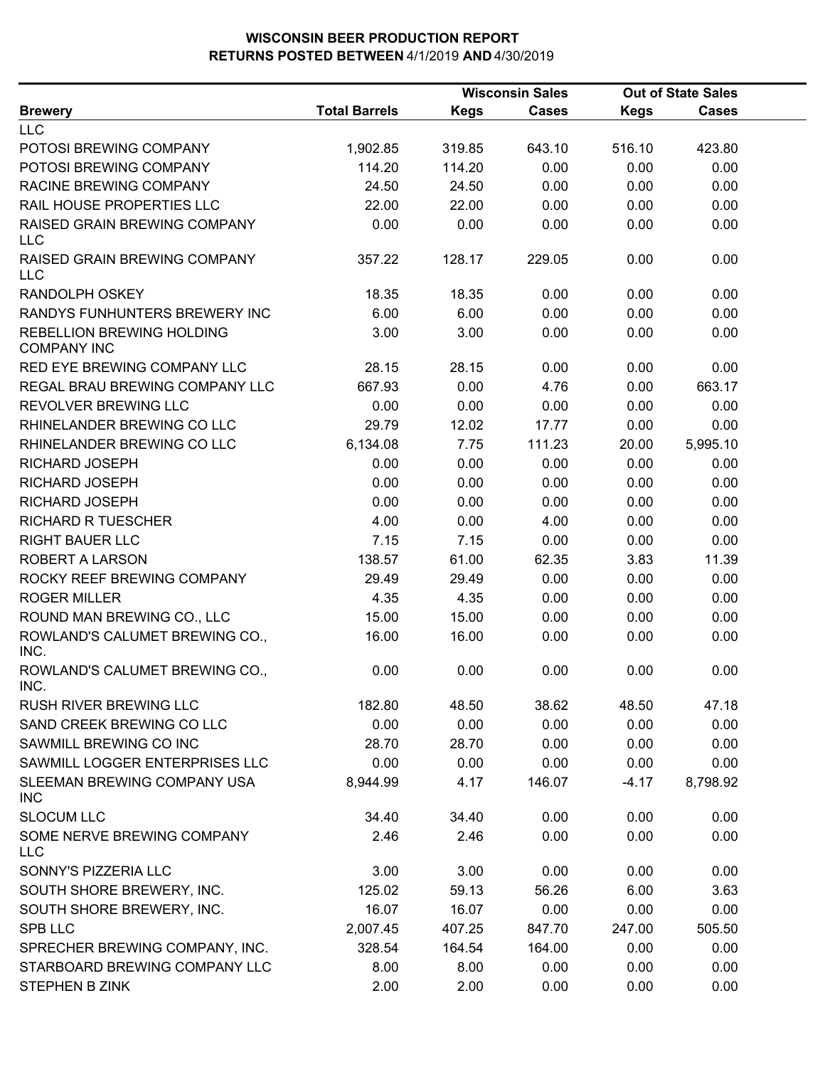|                                                 | <b>Wisconsin Sales</b> |             |              | <b>Out of State Sales</b> |              |  |
|-------------------------------------------------|------------------------|-------------|--------------|---------------------------|--------------|--|
| <b>Brewery</b>                                  | <b>Total Barrels</b>   | <b>Kegs</b> | <b>Cases</b> | <b>Kegs</b>               | <b>Cases</b> |  |
| LLC                                             |                        |             |              |                           |              |  |
| POTOSI BREWING COMPANY                          | 1,902.85               | 319.85      | 643.10       | 516.10                    | 423.80       |  |
| POTOSI BREWING COMPANY                          | 114.20                 | 114.20      | 0.00         | 0.00                      | 0.00         |  |
| RACINE BREWING COMPANY                          | 24.50                  | 24.50       | 0.00         | 0.00                      | 0.00         |  |
| RAIL HOUSE PROPERTIES LLC                       | 22.00                  | 22.00       | 0.00         | 0.00                      | 0.00         |  |
| RAISED GRAIN BREWING COMPANY<br><b>LLC</b>      | 0.00                   | 0.00        | 0.00         | 0.00                      | 0.00         |  |
| RAISED GRAIN BREWING COMPANY<br><b>LLC</b>      | 357.22                 | 128.17      | 229.05       | 0.00                      | 0.00         |  |
| <b>RANDOLPH OSKEY</b>                           | 18.35                  | 18.35       | 0.00         | 0.00                      | 0.00         |  |
| RANDYS FUNHUNTERS BREWERY INC                   | 6.00                   | 6.00        | 0.00         | 0.00                      | 0.00         |  |
| REBELLION BREWING HOLDING<br><b>COMPANY INC</b> | 3.00                   | 3.00        | 0.00         | 0.00                      | 0.00         |  |
| RED EYE BREWING COMPANY LLC                     | 28.15                  | 28.15       | 0.00         | 0.00                      | 0.00         |  |
| REGAL BRAU BREWING COMPANY LLC                  | 667.93                 | 0.00        | 4.76         | 0.00                      | 663.17       |  |
| <b>REVOLVER BREWING LLC</b>                     | 0.00                   | 0.00        | 0.00         | 0.00                      | 0.00         |  |
| RHINELANDER BREWING CO LLC                      | 29.79                  | 12.02       | 17.77        | 0.00                      | 0.00         |  |
| RHINELANDER BREWING CO LLC                      | 6,134.08               | 7.75        | 111.23       | 20.00                     | 5,995.10     |  |
| <b>RICHARD JOSEPH</b>                           | 0.00                   | 0.00        | 0.00         | 0.00                      | 0.00         |  |
| RICHARD JOSEPH                                  | 0.00                   | 0.00        | 0.00         | 0.00                      | 0.00         |  |
| RICHARD JOSEPH                                  | 0.00                   | 0.00        | 0.00         | 0.00                      | 0.00         |  |
| <b>RICHARD R TUESCHER</b>                       | 4.00                   | 0.00        | 4.00         | 0.00                      | 0.00         |  |
| <b>RIGHT BAUER LLC</b>                          | 7.15                   | 7.15        | 0.00         | 0.00                      | 0.00         |  |
| <b>ROBERT A LARSON</b>                          | 138.57                 | 61.00       | 62.35        | 3.83                      | 11.39        |  |
| ROCKY REEF BREWING COMPANY                      | 29.49                  | 29.49       | 0.00         | 0.00                      | 0.00         |  |
| <b>ROGER MILLER</b>                             | 4.35                   | 4.35        | 0.00         | 0.00                      | 0.00         |  |
| ROUND MAN BREWING CO., LLC                      | 15.00                  | 15.00       | 0.00         | 0.00                      | 0.00         |  |
| ROWLAND'S CALUMET BREWING CO.,<br>INC.          | 16.00                  | 16.00       | 0.00         | 0.00                      | 0.00         |  |
| ROWLAND'S CALUMET BREWING CO.,<br>INC.          | 0.00                   | 0.00        | 0.00         | 0.00                      | 0.00         |  |
| RUSH RIVER BREWING LLC                          | 182.80                 | 48.50       | 38.62        | 48.50                     | 47.18        |  |
| SAND CREEK BREWING CO LLC                       | 0.00                   | 0.00        | 0.00         | 0.00                      | 0.00         |  |
| SAWMILL BREWING CO INC                          | 28.70                  | 28.70       | 0.00         | 0.00                      | 0.00         |  |
| SAWMILL LOGGER ENTERPRISES LLC                  | 0.00                   | 0.00        | 0.00         | 0.00                      | 0.00         |  |
| SLEEMAN BREWING COMPANY USA<br><b>INC</b>       | 8,944.99               | 4.17        | 146.07       | $-4.17$                   | 8,798.92     |  |
| <b>SLOCUM LLC</b>                               | 34.40                  | 34.40       | 0.00         | 0.00                      | 0.00         |  |
| SOME NERVE BREWING COMPANY<br><b>LLC</b>        | 2.46                   | 2.46        | 0.00         | 0.00                      | 0.00         |  |
| SONNY'S PIZZERIA LLC                            | 3.00                   | 3.00        | 0.00         | 0.00                      | 0.00         |  |
| SOUTH SHORE BREWERY, INC.                       | 125.02                 | 59.13       | 56.26        | 6.00                      | 3.63         |  |
| SOUTH SHORE BREWERY, INC.                       | 16.07                  | 16.07       | 0.00         | 0.00                      | 0.00         |  |
| <b>SPB LLC</b>                                  | 2,007.45               | 407.25      | 847.70       | 247.00                    | 505.50       |  |
| SPRECHER BREWING COMPANY, INC.                  | 328.54                 | 164.54      | 164.00       | 0.00                      | 0.00         |  |
| STARBOARD BREWING COMPANY LLC                   | 8.00                   | 8.00        | 0.00         | 0.00                      | 0.00         |  |
| STEPHEN B ZINK                                  | 2.00                   | 2.00        | 0.00         | 0.00                      | 0.00         |  |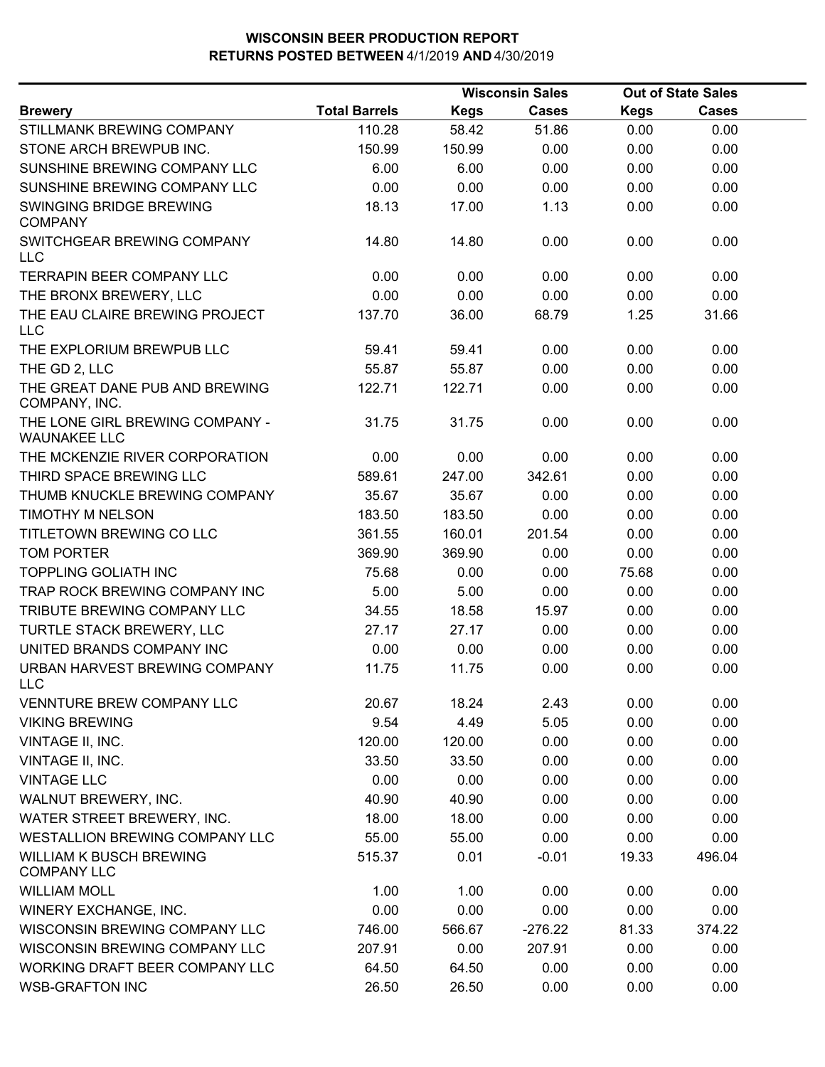|                                                        |                      |             | <b>Wisconsin Sales</b> | <b>Out of State Sales</b> |              |  |
|--------------------------------------------------------|----------------------|-------------|------------------------|---------------------------|--------------|--|
| <b>Brewery</b>                                         | <b>Total Barrels</b> | <b>Kegs</b> | <b>Cases</b>           | <b>Kegs</b>               | <b>Cases</b> |  |
| STILLMANK BREWING COMPANY                              | 110.28               | 58.42       | 51.86                  | 0.00                      | 0.00         |  |
| STONE ARCH BREWPUB INC.                                | 150.99               | 150.99      | 0.00                   | 0.00                      | 0.00         |  |
| SUNSHINE BREWING COMPANY LLC                           | 6.00                 | 6.00        | 0.00                   | 0.00                      | 0.00         |  |
| SUNSHINE BREWING COMPANY LLC                           | 0.00                 | 0.00        | 0.00                   | 0.00                      | 0.00         |  |
| SWINGING BRIDGE BREWING<br><b>COMPANY</b>              | 18.13                | 17.00       | 1.13                   | 0.00                      | 0.00         |  |
| SWITCHGEAR BREWING COMPANY<br><b>LLC</b>               | 14.80                | 14.80       | 0.00                   | 0.00                      | 0.00         |  |
| TERRAPIN BEER COMPANY LLC                              | 0.00                 | 0.00        | 0.00                   | 0.00                      | 0.00         |  |
| THE BRONX BREWERY, LLC                                 | 0.00                 | 0.00        | 0.00                   | 0.00                      | 0.00         |  |
| THE EAU CLAIRE BREWING PROJECT<br><b>LLC</b>           | 137.70               | 36.00       | 68.79                  | 1.25                      | 31.66        |  |
| THE EXPLORIUM BREWPUB LLC                              | 59.41                | 59.41       | 0.00                   | 0.00                      | 0.00         |  |
| THE GD 2, LLC                                          | 55.87                | 55.87       | 0.00                   | 0.00                      | 0.00         |  |
| THE GREAT DANE PUB AND BREWING<br>COMPANY, INC.        | 122.71               | 122.71      | 0.00                   | 0.00                      | 0.00         |  |
| THE LONE GIRL BREWING COMPANY -<br><b>WAUNAKEE LLC</b> | 31.75                | 31.75       | 0.00                   | 0.00                      | 0.00         |  |
| THE MCKENZIE RIVER CORPORATION                         | 0.00                 | 0.00        | 0.00                   | 0.00                      | 0.00         |  |
| THIRD SPACE BREWING LLC                                | 589.61               | 247.00      | 342.61                 | 0.00                      | 0.00         |  |
| THUMB KNUCKLE BREWING COMPANY                          | 35.67                | 35.67       | 0.00                   | 0.00                      | 0.00         |  |
| <b>TIMOTHY M NELSON</b>                                | 183.50               | 183.50      | 0.00                   | 0.00                      | 0.00         |  |
| TITLETOWN BREWING CO LLC                               | 361.55               | 160.01      | 201.54                 | 0.00                      | 0.00         |  |
| <b>TOM PORTER</b>                                      | 369.90               | 369.90      | 0.00                   | 0.00                      | 0.00         |  |
| <b>TOPPLING GOLIATH INC</b>                            | 75.68                | 0.00        | 0.00                   | 75.68                     | 0.00         |  |
| TRAP ROCK BREWING COMPANY INC                          | 5.00                 | 5.00        | 0.00                   | 0.00                      | 0.00         |  |
| TRIBUTE BREWING COMPANY LLC                            | 34.55                | 18.58       | 15.97                  | 0.00                      | 0.00         |  |
| TURTLE STACK BREWERY, LLC                              | 27.17                | 27.17       | 0.00                   | 0.00                      | 0.00         |  |
| UNITED BRANDS COMPANY INC                              | 0.00                 | 0.00        | 0.00                   | 0.00                      | 0.00         |  |
| URBAN HARVEST BREWING COMPANY<br>LLC                   | 11.75                | 11.75       | 0.00                   | 0.00                      | 0.00         |  |
| <b>VENNTURE BREW COMPANY LLC</b>                       | 20.67                | 18.24       | 2.43                   | 0.00                      | 0.00         |  |
| <b>VIKING BREWING</b>                                  | 9.54                 | 4.49        | 5.05                   | 0.00                      | 0.00         |  |
| VINTAGE II, INC.                                       | 120.00               | 120.00      | 0.00                   | 0.00                      | 0.00         |  |
| VINTAGE II, INC.                                       | 33.50                | 33.50       | 0.00                   | 0.00                      | 0.00         |  |
| <b>VINTAGE LLC</b>                                     | 0.00                 | 0.00        | 0.00                   | 0.00                      | 0.00         |  |
| WALNUT BREWERY, INC.                                   | 40.90                | 40.90       | 0.00                   | 0.00                      | 0.00         |  |
| WATER STREET BREWERY, INC.                             | 18.00                | 18.00       | 0.00                   | 0.00                      | 0.00         |  |
| WESTALLION BREWING COMPANY LLC                         | 55.00                | 55.00       | 0.00                   | 0.00                      | 0.00         |  |
| <b>WILLIAM K BUSCH BREWING</b><br><b>COMPANY LLC</b>   | 515.37               | 0.01        | $-0.01$                | 19.33                     | 496.04       |  |
| <b>WILLIAM MOLL</b>                                    | 1.00                 | 1.00        | 0.00                   | 0.00                      | 0.00         |  |
| WINERY EXCHANGE, INC.                                  | 0.00                 | 0.00        | 0.00                   | 0.00                      | 0.00         |  |
| WISCONSIN BREWING COMPANY LLC                          | 746.00               | 566.67      | $-276.22$              | 81.33                     | 374.22       |  |
| WISCONSIN BREWING COMPANY LLC                          | 207.91               | 0.00        | 207.91                 | 0.00                      | 0.00         |  |
| WORKING DRAFT BEER COMPANY LLC                         | 64.50                | 64.50       | 0.00                   | 0.00                      | 0.00         |  |
| <b>WSB-GRAFTON INC</b>                                 | 26.50                | 26.50       | 0.00                   | 0.00                      | 0.00         |  |
|                                                        |                      |             |                        |                           |              |  |